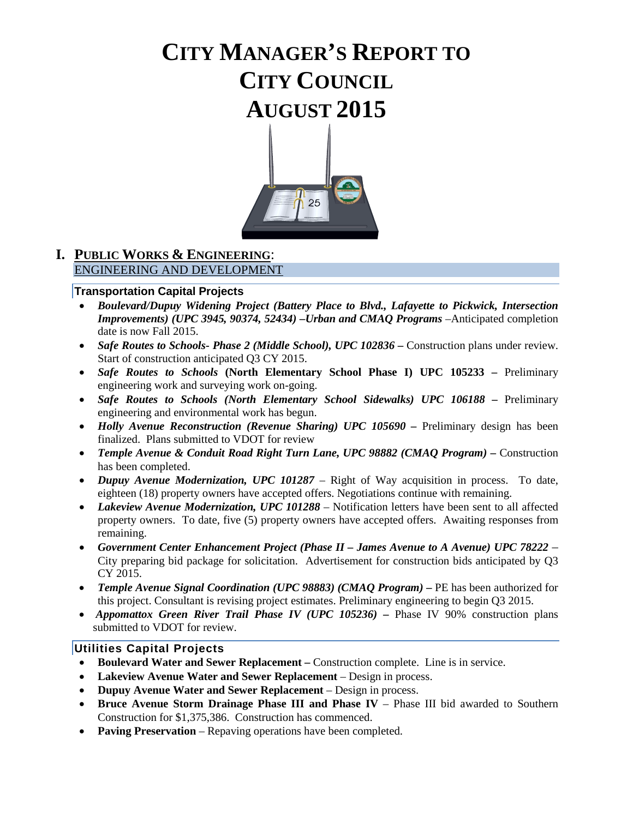# **CITY MANAGER'S REPORT TO CITY COUNCIL AUGUST 2015**



## **I. PUBLIC WORKS & ENGINEERING**: ENGINEERING AND DEVELOPMENT

#### **Transportation Capital Projects**

- *Boulevard/Dupuy Widening Project (Battery Place to Blvd., Lafayette to Pickwick, Intersection Improvements) (UPC 3945, 90374, 52434) –Urban and CMAQ Programs* –Anticipated completion date is now Fall 2015.
- *Safe Routes to Schools- Phase 2 (Middle School), UPC 102836* **–** Construction plans under review. Start of construction anticipated Q3 CY 2015.
- *Safe Routes to Schools* **(North Elementary School Phase I) UPC 105233 –** Preliminary engineering work and surveying work on-going.
- *Safe Routes to Schools (North Elementary School Sidewalks) UPC 106188 –* Preliminary engineering and environmental work has begun.
- *Holly Avenue Reconstruction (Revenue Sharing) UPC 105690 –* Preliminary design has been finalized. Plans submitted to VDOT for review
- *Temple Avenue & Conduit Road Right Turn Lane, UPC 98882 (CMAQ Program) –* Construction has been completed.
- *Dupuy Avenue Modernization, UPC 101287*  Right of Way acquisition in process. To date, eighteen (18) property owners have accepted offers. Negotiations continue with remaining.
- *Lakeview Avenue Modernization, UPC 101288* Notification letters have been sent to all affected property owners. To date, five (5) property owners have accepted offers. Awaiting responses from remaining.
- *Government Center Enhancement Project (Phase II – James Avenue to A Avenue) UPC 78222 –* City preparing bid package for solicitation. Advertisement for construction bids anticipated by Q3 CY 2015.
- *Temple Avenue Signal Coordination (UPC 98883) (CMAO Program)* PE has been authorized for this project. Consultant is revising project estimates. Preliminary engineering to begin Q3 2015.
- *Appomattox Green River Trail Phase IV (UPC 105236)* Phase IV 90% construction plans submitted to VDOT for review.

#### **Utilities Capital Projects**

- **Boulevard Water and Sewer Replacement –** Construction complete. Line is in service.
- Lakeview Avenue Water and Sewer Replacement Design in process.
- **Dupuy Avenue Water and Sewer Replacement**  Design in process.
- Bruce Avenue Storm Drainage Phase III and Phase IV Phase III bid awarded to Southern Construction for \$1,375,386. Construction has commenced.
- **Paving Preservation** Repaving operations have been completed.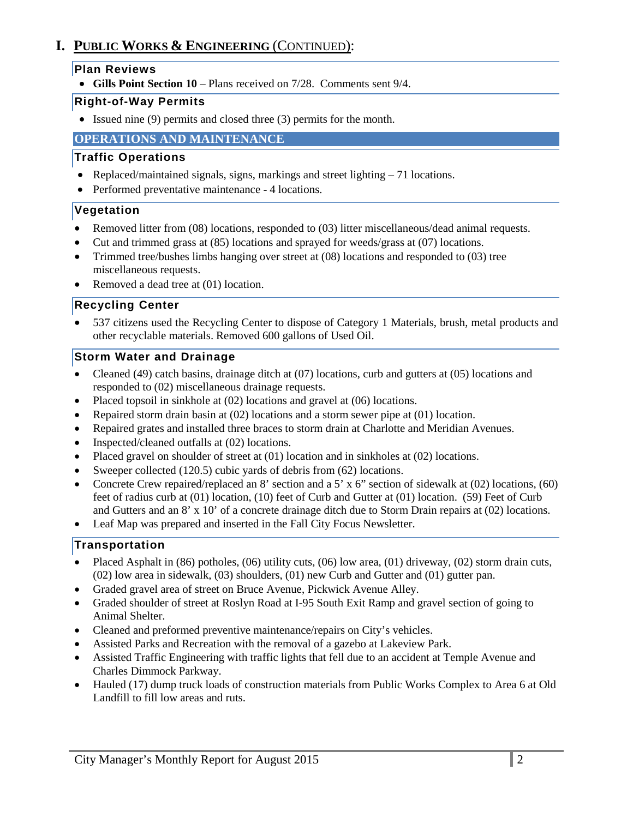# **I. PUBLIC WORKS & ENGINEERING** (CONTINUED):

### **Plan Reviews**

• **Gills Point Section 10** – Plans received on 7/28. Comments sent 9/4.

## **Right-of-Way Permits**

• Issued nine (9) permits and closed three (3) permits for the month.

## **OPERATIONS AND MAINTENANCE**

## **Traffic Operations**

- Replaced/maintained signals, signs, markings and street lighting 71 locations.
- Performed preventative maintenance 4 locations.

# **Vegetation**

- Removed litter from (08) locations, responded to (03) litter miscellaneous/dead animal requests.
- Cut and trimmed grass at (85) locations and sprayed for weeds/grass at (07) locations.
- Trimmed tree/bushes limbs hanging over street at (08) locations and responded to (03) tree miscellaneous requests.
- Removed a dead tree at (01) location.

## **Recycling Center**

• 537 citizens used the Recycling Center to dispose of Category 1 Materials, brush, metal products and other recyclable materials. Removed 600 gallons of Used Oil.

## **Storm Water and Drainage**

- Cleaned (49) catch basins, drainage ditch at (07) locations, curb and gutters at (05) locations and responded to (02) miscellaneous drainage requests.
- Placed topsoil in sinkhole at (02) locations and gravel at (06) locations.
- Repaired storm drain basin at (02) locations and a storm sewer pipe at (01) location.
- Repaired grates and installed three braces to storm drain at Charlotte and Meridian Avenues.
- Inspected/cleaned outfalls at (02) locations.
- Placed gravel on shoulder of street at (01) location and in sinkholes at (02) locations.
- Sweeper collected (120.5) cubic yards of debris from (62) locations.
- Concrete Crew repaired/replaced an 8' section and a 5' x 6" section of sidewalk at (02) locations, (60) feet of radius curb at (01) location, (10) feet of Curb and Gutter at (01) location. (59) Feet of Curb and Gutters and an 8' x 10' of a concrete drainage ditch due to Storm Drain repairs at (02) locations.
- Leaf Map was prepared and inserted in the Fall City Focus Newsletter.

## **Transportation**

- Placed Asphalt in (86) potholes, (06) utility cuts, (06) low area, (01) driveway, (02) storm drain cuts, (02) low area in sidewalk, (03) shoulders, (01) new Curb and Gutter and (01) gutter pan.
- Graded gravel area of street on Bruce Avenue, Pickwick Avenue Alley.
- Graded shoulder of street at Roslyn Road at I-95 South Exit Ramp and gravel section of going to Animal Shelter.
- Cleaned and preformed preventive maintenance/repairs on City's vehicles.
- Assisted Parks and Recreation with the removal of a gazebo at Lakeview Park.
- Assisted Traffic Engineering with traffic lights that fell due to an accident at Temple Avenue and Charles Dimmock Parkway.
- Hauled (17) dump truck loads of construction materials from Public Works Complex to Area 6 at Old Landfill to fill low areas and ruts.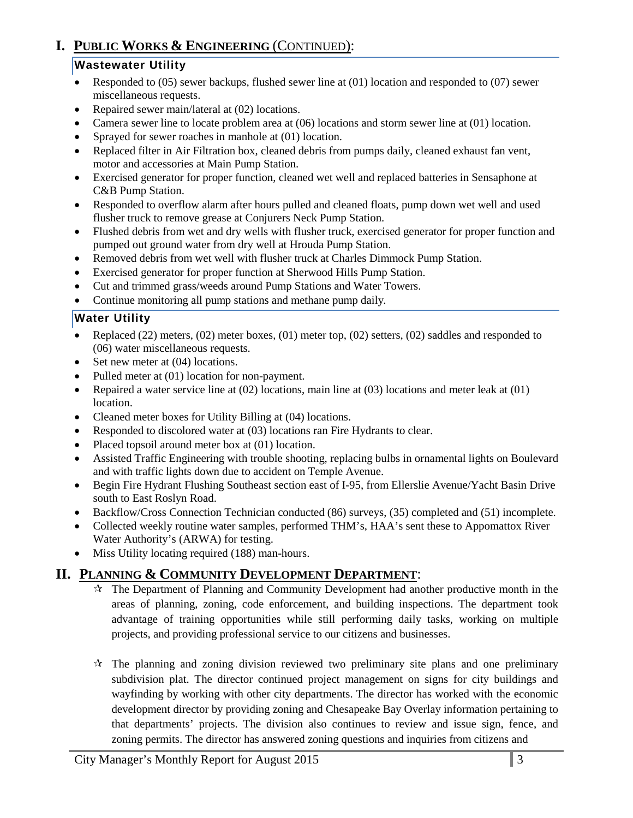# **I. PUBLIC WORKS & ENGINEERING** (CONTINUED):

## **Wastewater Utility**

- Responded to (05) sewer backups, flushed sewer line at (01) location and responded to (07) sewer miscellaneous requests.
- Repaired sewer main/lateral at (02) locations.
- Camera sewer line to locate problem area at (06) locations and storm sewer line at (01) location.
- Sprayed for sewer roaches in manhole at (01) location.
- Replaced filter in Air Filtration box, cleaned debris from pumps daily, cleaned exhaust fan vent, motor and accessories at Main Pump Station.
- Exercised generator for proper function, cleaned wet well and replaced batteries in Sensaphone at C&B Pump Station.
- Responded to overflow alarm after hours pulled and cleaned floats, pump down wet well and used flusher truck to remove grease at Conjurers Neck Pump Station.
- Flushed debris from wet and dry wells with flusher truck, exercised generator for proper function and pumped out ground water from dry well at Hrouda Pump Station.
- Removed debris from wet well with flusher truck at Charles Dimmock Pump Station.
- Exercised generator for proper function at Sherwood Hills Pump Station.
- Cut and trimmed grass/weeds around Pump Stations and Water Towers.
- Continue monitoring all pump stations and methane pump daily*.*

## **Water Utility**

- Replaced (22) meters, (02) meter boxes, (01) meter top, (02) setters, (02) saddles and responded to (06) water miscellaneous requests.
- Set new meter at  $(04)$  locations.
- Pulled meter at (01) location for non-payment.
- Repaired a water service line at (02) locations, main line at (03) locations and meter leak at (01) location.
- Cleaned meter boxes for Utility Billing at (04) locations.
- Responded to discolored water at (03) locations ran Fire Hydrants to clear.
- Placed topsoil around meter box at (01) location.
- Assisted Traffic Engineering with trouble shooting, replacing bulbs in ornamental lights on Boulevard and with traffic lights down due to accident on Temple Avenue.
- Begin Fire Hydrant Flushing Southeast section east of I-95, from Ellerslie Avenue/Yacht Basin Drive south to East Roslyn Road.
- Backflow/Cross Connection Technician conducted (86) surveys, (35) completed and (51) incomplete.
- Collected weekly routine water samples, performed THM's, HAA's sent these to Appomattox River Water Authority's (ARWA) for testing.
- Miss Utility locating required (188) man-hours.

# **II. PLANNING & COMMUNITY DEVELOPMENT DEPARTMENT**:

- $\hat{\mathcal{R}}$  The Department of Planning and Community Development had another productive month in the areas of planning, zoning, code enforcement, and building inspections. The department took advantage of training opportunities while still performing daily tasks, working on multiple projects, and providing professional service to our citizens and businesses.
- $\hat{x}$  The planning and zoning division reviewed two preliminary site plans and one preliminary subdivision plat. The director continued project management on signs for city buildings and wayfinding by working with other city departments. The director has worked with the economic development director by providing zoning and Chesapeake Bay Overlay information pertaining to that departments' projects. The division also continues to review and issue sign, fence, and zoning permits. The director has answered zoning questions and inquiries from citizens and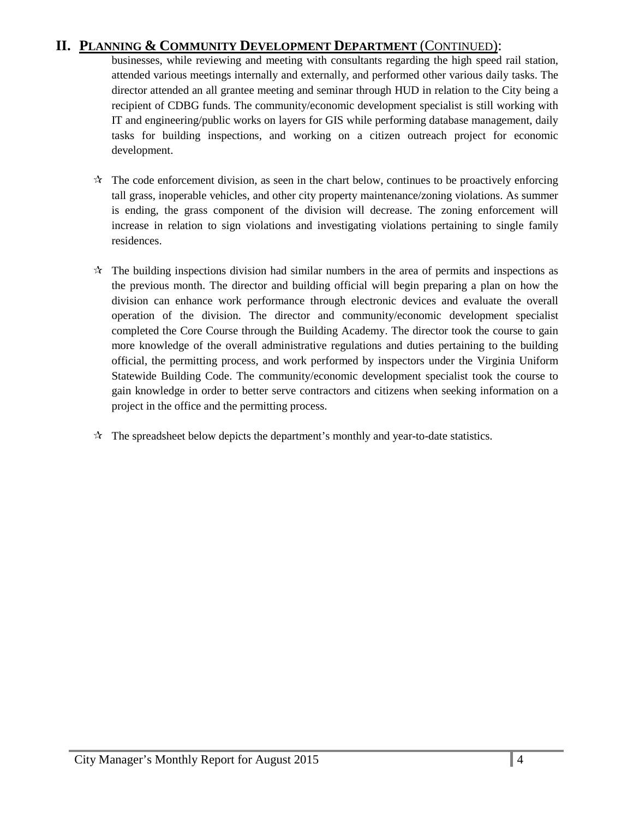# **II. PLANNING & COMMUNITY DEVELOPMENT DEPARTMENT** (CONTINUED):

businesses, while reviewing and meeting with consultants regarding the high speed rail station, attended various meetings internally and externally, and performed other various daily tasks. The director attended an all grantee meeting and seminar through HUD in relation to the City being a recipient of CDBG funds. The community/economic development specialist is still working with IT and engineering/public works on layers for GIS while performing database management, daily tasks for building inspections, and working on a citizen outreach project for economic development.

- $\mathcal{R}$ . The code enforcement division, as seen in the chart below, continues to be proactively enforcing tall grass, inoperable vehicles, and other city property maintenance/zoning violations. As summer is ending, the grass component of the division will decrease. The zoning enforcement will increase in relation to sign violations and investigating violations pertaining to single family residences.
- $\mathcal{R}$  The building inspections division had similar numbers in the area of permits and inspections as the previous month. The director and building official will begin preparing a plan on how the division can enhance work performance through electronic devices and evaluate the overall operation of the division. The director and community/economic development specialist completed the Core Course through the Building Academy. The director took the course to gain more knowledge of the overall administrative regulations and duties pertaining to the building official, the permitting process, and work performed by inspectors under the Virginia Uniform Statewide Building Code. The community/economic development specialist took the course to gain knowledge in order to better serve contractors and citizens when seeking information on a project in the office and the permitting process.
- $\mathbf{\hat{x}}$  The spreadsheet below depicts the department's monthly and year-to-date statistics.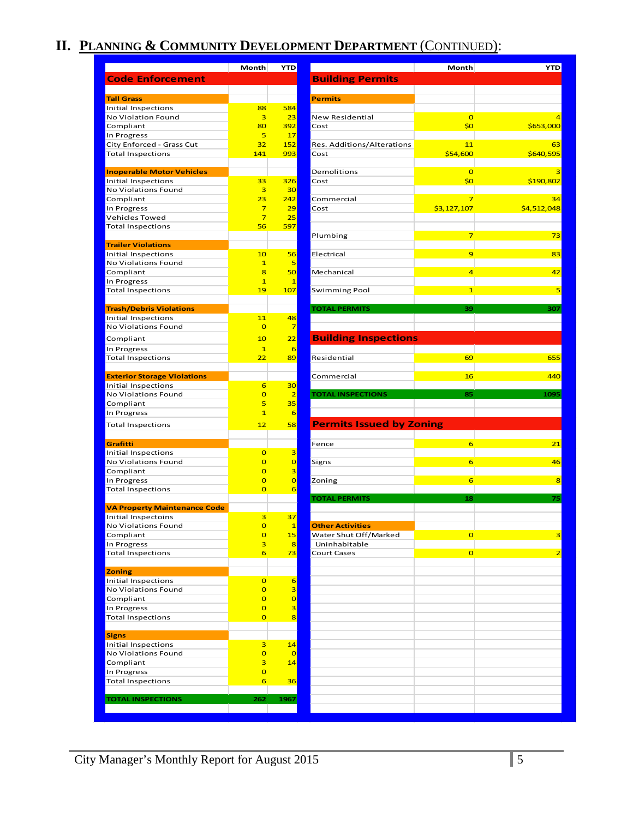# **II. PLANNING & COMMUNITY DEVELOPMENT DEPARTMENT** (CONTINUED):

|                                                                                                                                                                                                                                                                                                    | <b>Month</b>                     | <b>YTD</b>          |                                 | Month           | <b>YTD</b>  |
|----------------------------------------------------------------------------------------------------------------------------------------------------------------------------------------------------------------------------------------------------------------------------------------------------|----------------------------------|---------------------|---------------------------------|-----------------|-------------|
| <b>Code Enforcement</b>                                                                                                                                                                                                                                                                            |                                  |                     | <b>Building Permits</b>         |                 |             |
|                                                                                                                                                                                                                                                                                                    |                                  |                     |                                 |                 |             |
| <b>Tall Grass</b>                                                                                                                                                                                                                                                                                  |                                  |                     | <b>Permits</b>                  |                 |             |
| Initial Inspections                                                                                                                                                                                                                                                                                | 88                               | 584                 |                                 |                 |             |
| No Violation Found                                                                                                                                                                                                                                                                                 | 3                                | 23                  | <b>New Residential</b>          | $\overline{0}$  |             |
| Compliant                                                                                                                                                                                                                                                                                          | 80                               | 392                 | Cost                            | \$0             | \$653,000   |
| In Progress                                                                                                                                                                                                                                                                                        | 5                                | 17                  |                                 |                 |             |
| City Enforced - Grass Cut                                                                                                                                                                                                                                                                          | 32                               | 152                 | Res. Additions/Alterations      | 11              |             |
| <b>Total Inspections</b>                                                                                                                                                                                                                                                                           | 141                              | 993                 | Cost                            | \$54,600        | \$640,595   |
| <b>Inoperable Motor Vehicles</b>                                                                                                                                                                                                                                                                   |                                  |                     | Demolitions                     | $\overline{0}$  |             |
| <b>Initial Inspections</b>                                                                                                                                                                                                                                                                         | 33                               | 326                 | Cost                            | \$0             | \$190,802   |
| No Violations Found                                                                                                                                                                                                                                                                                | 3                                | 30                  |                                 |                 |             |
| Compliant                                                                                                                                                                                                                                                                                          | 23                               | 242                 | Commercial                      | $\overline{7}$  |             |
| In Progress                                                                                                                                                                                                                                                                                        | $\overline{7}$                   | 29                  | Cost                            | \$3,127,107     | \$4,512,048 |
| Vehicles Towed                                                                                                                                                                                                                                                                                     | $\overline{7}$                   | 25                  |                                 |                 |             |
| <b>Total Inspections</b>                                                                                                                                                                                                                                                                           | 56                               | 597                 |                                 |                 |             |
|                                                                                                                                                                                                                                                                                                    |                                  |                     | Plumbing                        | $\overline{7}$  |             |
| <b>Trailer Violations</b>                                                                                                                                                                                                                                                                          |                                  |                     |                                 |                 |             |
| Initial Inspections                                                                                                                                                                                                                                                                                | 10 <sub>1</sub>                  | 56                  | Electrical                      | 9               |             |
| No Violations Found                                                                                                                                                                                                                                                                                | $\mathbf{1}$                     | 5                   |                                 |                 |             |
| Compliant                                                                                                                                                                                                                                                                                          | 8                                | 50                  | Mechanical                      | $\overline{a}$  |             |
| In Progress                                                                                                                                                                                                                                                                                        | $\mathbf{1}$                     | $\mathbf{1}$        |                                 |                 |             |
| <b>Total Inspections</b>                                                                                                                                                                                                                                                                           | 19                               | 107                 | Swimming Pool                   | $\mathbf{1}$    |             |
|                                                                                                                                                                                                                                                                                                    |                                  |                     |                                 |                 |             |
| <b>Trash/Debris Violations</b>                                                                                                                                                                                                                                                                     |                                  |                     | <b>TOTAL PERMITS</b>            | 39              | 307         |
| Initial Inspections                                                                                                                                                                                                                                                                                | 11                               | 48                  |                                 |                 |             |
| No Violations Found                                                                                                                                                                                                                                                                                | $\overline{0}$                   | $\overline{7}$      |                                 |                 |             |
| Compliant                                                                                                                                                                                                                                                                                          | 10                               | 22                  | <b>Building Inspections</b>     |                 |             |
| In Progress                                                                                                                                                                                                                                                                                        | $\mathbf{1}$                     | 6                   |                                 |                 |             |
| <b>Total Inspections</b>                                                                                                                                                                                                                                                                           | 22                               | 89                  | Residential                     | 69              | 655         |
|                                                                                                                                                                                                                                                                                                    |                                  |                     |                                 |                 |             |
| <b>Exterior Storage Violations</b>                                                                                                                                                                                                                                                                 |                                  |                     | Commercial                      | 16              | 440         |
| Initial Inspections                                                                                                                                                                                                                                                                                | 6                                | 30                  |                                 |                 |             |
| No Violations Found                                                                                                                                                                                                                                                                                | $\overline{O}$                   | $\overline{2}$      | <b>TOTAL INSPECTIONS</b>        | 85              | 1095        |
| Compliant                                                                                                                                                                                                                                                                                          | 5                                | 35                  |                                 |                 |             |
| In Progress                                                                                                                                                                                                                                                                                        | $\mathbf{1}$                     | 6                   |                                 |                 |             |
| <b>Total Inspections</b>                                                                                                                                                                                                                                                                           | 12                               | 58                  | <b>Permits Issued by Zoning</b> |                 |             |
|                                                                                                                                                                                                                                                                                                    |                                  |                     |                                 |                 |             |
| Grafitti                                                                                                                                                                                                                                                                                           |                                  |                     | Fence                           | $6\phantom{1}6$ |             |
| Initial Inspections                                                                                                                                                                                                                                                                                | $\mathbf{O}$                     | 3                   |                                 |                 |             |
| No Violations Found                                                                                                                                                                                                                                                                                | $\overline{O}$                   | $\overline{0}$      | Signs                           | 6               |             |
| Compliant                                                                                                                                                                                                                                                                                          | $\overline{O}$                   | 3                   |                                 |                 |             |
| In Progress                                                                                                                                                                                                                                                                                        | $\overline{0}$                   | $\overline{0}$      | Zoning                          | 6               |             |
| <b>Total Inspections</b>                                                                                                                                                                                                                                                                           | $\overline{O}$                   | $6\overline{6}$     |                                 |                 |             |
|                                                                                                                                                                                                                                                                                                    |                                  |                     | <b>TOTAL PERMITS</b>            | 18              |             |
| <b>VA Property Maintenance Code</b><br>Initial Inspectoins                                                                                                                                                                                                                                         | $\overline{3}$                   | 37                  |                                 |                 |             |
| No Violations Found                                                                                                                                                                                                                                                                                | $\mathbf{o}$                     | $\mathbf{1}$        | <b>Other Activities</b>         |                 |             |
| Compliant                                                                                                                                                                                                                                                                                          |                                  |                     |                                 |                 |             |
|                                                                                                                                                                                                                                                                                                    |                                  |                     |                                 |                 |             |
|                                                                                                                                                                                                                                                                                                    | $\overline{O}$                   | 15                  | Water Shut Off/Marked           | $\mathbf{O}$    |             |
|                                                                                                                                                                                                                                                                                                    | $\overline{\mathbf{3}}$          | 8                   | Uninhabitable                   |                 |             |
|                                                                                                                                                                                                                                                                                                    | 6                                | 73                  | <b>Court Cases</b>              | $\overline{0}$  |             |
|                                                                                                                                                                                                                                                                                                    |                                  |                     |                                 |                 |             |
|                                                                                                                                                                                                                                                                                                    | $\overline{O}$                   | 6                   |                                 |                 |             |
|                                                                                                                                                                                                                                                                                                    |                                  |                     |                                 |                 |             |
|                                                                                                                                                                                                                                                                                                    | $\overline{O}$<br>$\overline{O}$ | 3<br>$\overline{0}$ |                                 |                 |             |
|                                                                                                                                                                                                                                                                                                    |                                  |                     |                                 |                 |             |
|                                                                                                                                                                                                                                                                                                    | $\overline{O}$                   | 3                   |                                 |                 |             |
|                                                                                                                                                                                                                                                                                                    | $\overline{O}$                   | 8                   |                                 |                 |             |
|                                                                                                                                                                                                                                                                                                    |                                  |                     |                                 |                 |             |
|                                                                                                                                                                                                                                                                                                    | $\overline{\mathbf{3}}$          | 14                  |                                 |                 |             |
|                                                                                                                                                                                                                                                                                                    | $\mathbf{O}$                     | $\overline{0}$      |                                 |                 |             |
|                                                                                                                                                                                                                                                                                                    | 3                                | 14                  |                                 |                 |             |
|                                                                                                                                                                                                                                                                                                    | $\overline{0}$                   |                     |                                 |                 |             |
| In Progress<br><b>Total Inspections</b><br><b>Zoning</b><br><b>Initial Inspections</b><br>No Violations Found<br>Compliant<br>In Progress<br><b>Total Inspections</b><br><b>Signs</b><br><b>Initial Inspections</b><br>No Violations Found<br>Compliant<br>In Progress<br><b>Total Inspections</b> | 6                                | 36                  |                                 |                 |             |
|                                                                                                                                                                                                                                                                                                    |                                  |                     |                                 |                 |             |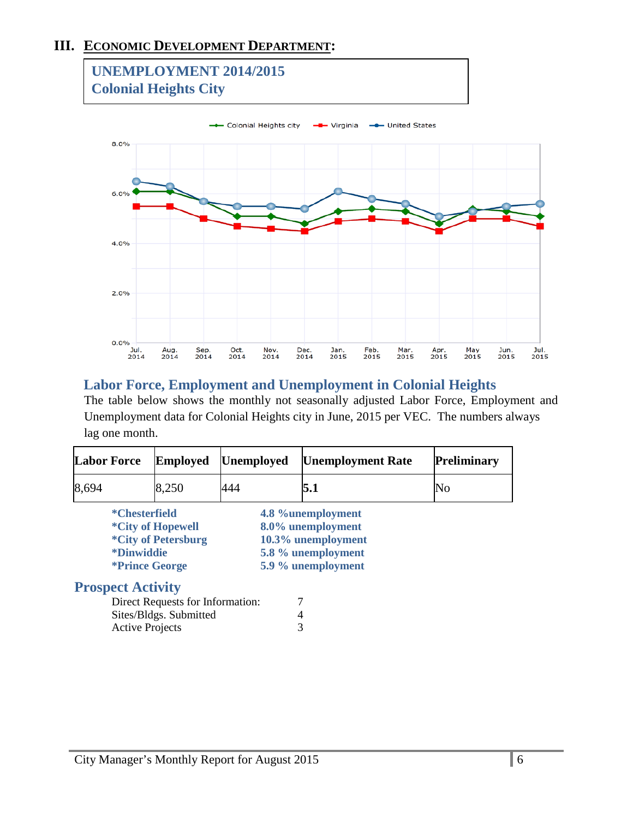# **III. ECONOMIC DEVELOPMENT DEPARTMENT:**



# **Labor Force, Employment and Unemployment in Colonial Heights**

The table below shows the monthly not seasonally adjusted Labor Force, Employment and Unemployment data for Colonial Heights city in June, 2015 per VEC. The numbers always lag one month.

| <b>Labor Force</b>       |                          | <b>Employed</b>                  | <b>Unemployed</b> | <b>Unemployment Rate</b> | <b>Preliminary</b> |
|--------------------------|--------------------------|----------------------------------|-------------------|--------------------------|--------------------|
| 8,694                    |                          | 8,250                            | 444               | 5.1                      | No                 |
|                          | *Chesterfield            |                                  |                   | 4.8 %unemployment        |                    |
|                          |                          | <i>*City of Hopewell</i>         |                   | 8.0% unemployment        |                    |
|                          |                          | <i>*City of Petersburg</i>       |                   | 10.3% unemployment       |                    |
|                          | <i><b>*Dinwiddie</b></i> |                                  |                   | 5.8 % unemployment       |                    |
|                          |                          | <i><b>*Prince George</b></i>     |                   | 5.9 % unemployment       |                    |
| <b>Prospect Activity</b> |                          |                                  |                   |                          |                    |
|                          |                          | Direct Requests for Information: |                   |                          |                    |
|                          |                          |                                  |                   |                          |                    |

| Direct Requests for Information: |  |
|----------------------------------|--|
| Sites/Bldgs. Submitted           |  |
| <b>Active Projects</b>           |  |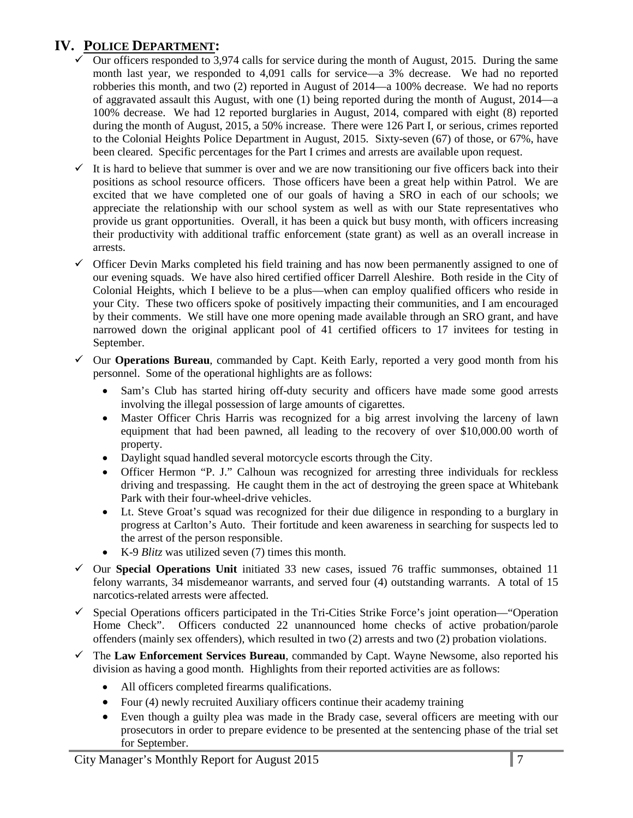# **IV. POLICE DEPARTMENT:**

- Our officers responded to 3,974 calls for service during the month of August, 2015. During the same month last year, we responded to 4,091 calls for service—a 3% decrease. We had no reported robberies this month, and two (2) reported in August of 2014—a 100% decrease. We had no reports of aggravated assault this August, with one (1) being reported during the month of August, 2014—a 100% decrease. We had 12 reported burglaries in August, 2014, compared with eight (8) reported during the month of August, 2015, a 50% increase. There were 126 Part I, or serious, crimes reported to the Colonial Heights Police Department in August, 2015. Sixty-seven (67) of those, or 67%, have been cleared. Specific percentages for the Part I crimes and arrests are available upon request.
- $\checkmark$  It is hard to believe that summer is over and we are now transitioning our five officers back into their positions as school resource officers. Those officers have been a great help within Patrol. We are excited that we have completed one of our goals of having a SRO in each of our schools; we appreciate the relationship with our school system as well as with our State representatives who provide us grant opportunities. Overall, it has been a quick but busy month, with officers increasing their productivity with additional traffic enforcement (state grant) as well as an overall increase in arrests.
- $\checkmark$  Officer Devin Marks completed his field training and has now been permanently assigned to one of our evening squads. We have also hired certified officer Darrell Aleshire. Both reside in the City of Colonial Heights, which I believe to be a plus—when can employ qualified officers who reside in your City. These two officers spoke of positively impacting their communities, and I am encouraged by their comments. We still have one more opening made available through an SRO grant, and have narrowed down the original applicant pool of 41 certified officers to 17 invitees for testing in September.
- $\checkmark$  Our **Operations Bureau**, commanded by Capt. Keith Early, reported a very good month from his personnel. Some of the operational highlights are as follows:
	- Sam's Club has started hiring off-duty security and officers have made some good arrests involving the illegal possession of large amounts of cigarettes.
	- Master Officer Chris Harris was recognized for a big arrest involving the larceny of lawn equipment that had been pawned, all leading to the recovery of over \$10,000.00 worth of property.
	- Daylight squad handled several motorcycle escorts through the City.
	- Officer Hermon "P. J." Calhoun was recognized for arresting three individuals for reckless driving and trespassing. He caught them in the act of destroying the green space at Whitebank Park with their four-wheel-drive vehicles.
	- Lt. Steve Groat's squad was recognized for their due diligence in responding to a burglary in progress at Carlton's Auto. Their fortitude and keen awareness in searching for suspects led to the arrest of the person responsible.
	- K-9 *Blitz* was utilized seven (7) times this month.
- $\checkmark$  Our **Special Operations Unit** initiated 33 new cases, issued 76 traffic summonses, obtained 11 felony warrants, 34 misdemeanor warrants, and served four (4) outstanding warrants. A total of 15 narcotics-related arrests were affected.
- $\checkmark$  Special Operations officers participated in the Tri-Cities Strike Force's joint operation—"Operation Home Check". Officers conducted 22 unannounced home checks of active probation/parole offenders (mainly sex offenders), which resulted in two (2) arrests and two (2) probation violations.
- The **Law Enforcement Services Bureau**, commanded by Capt. Wayne Newsome, also reported his division as having a good month. Highlights from their reported activities are as follows:
	- All officers completed firearms qualifications.
	- Four (4) newly recruited Auxiliary officers continue their academy training
	- Even though a guilty plea was made in the Brady case, several officers are meeting with our prosecutors in order to prepare evidence to be presented at the sentencing phase of the trial set for September.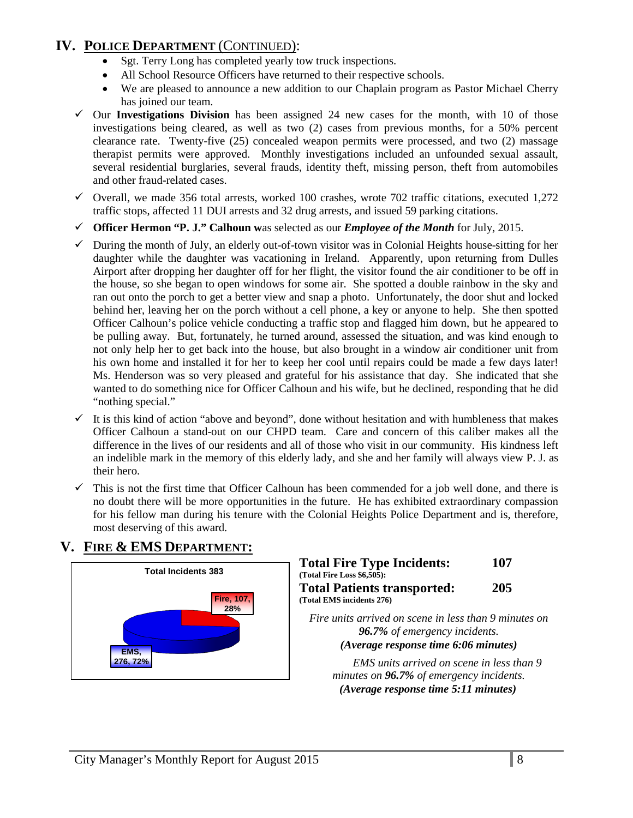# **IV. POLICE DEPARTMENT** (CONTINUED):

- Sgt. Terry Long has completed yearly tow truck inspections.
- All School Resource Officers have returned to their respective schools.
- We are pleased to announce a new addition to our Chaplain program as Pastor Michael Cherry has joined our team.
- $\checkmark$  Our **Investigations Division** has been assigned 24 new cases for the month, with 10 of those investigations being cleared, as well as two (2) cases from previous months, for a 50% percent clearance rate. Twenty-five (25) concealed weapon permits were processed, and two (2) massage therapist permits were approved. Monthly investigations included an unfounded sexual assault, several residential burglaries, several frauds, identity theft, missing person, theft from automobiles and other fraud-related cases.
- $\checkmark$  Overall, we made 356 total arrests, worked 100 crashes, wrote 702 traffic citations, executed 1,272 traffic stops, affected 11 DUI arrests and 32 drug arrests, and issued 59 parking citations.
- **Officer Hermon "P. J." Calhoun w**as selected as our *Employee of the Month* for July, 2015.
- $\checkmark$  During the month of July, an elderly out-of-town visitor was in Colonial Heights house-sitting for her daughter while the daughter was vacationing in Ireland. Apparently, upon returning from Dulles Airport after dropping her daughter off for her flight, the visitor found the air conditioner to be off in the house, so she began to open windows for some air. She spotted a double rainbow in the sky and ran out onto the porch to get a better view and snap a photo. Unfortunately, the door shut and locked behind her, leaving her on the porch without a cell phone, a key or anyone to help. She then spotted Officer Calhoun's police vehicle conducting a traffic stop and flagged him down, but he appeared to be pulling away. But, fortunately, he turned around, assessed the situation, and was kind enough to not only help her to get back into the house, but also brought in a window air conditioner unit from his own home and installed it for her to keep her cool until repairs could be made a few days later! Ms. Henderson was so very pleased and grateful for his assistance that day. She indicated that she wanted to do something nice for Officer Calhoun and his wife, but he declined, responding that he did "nothing special."
- $\checkmark$  It is this kind of action "above and beyond", done without hesitation and with humbleness that makes Officer Calhoun a stand-out on our CHPD team. Care and concern of this caliber makes all the difference in the lives of our residents and all of those who visit in our community. His kindness left an indelible mark in the memory of this elderly lady, and she and her family will always view P. J. as their hero.
- $\checkmark$  This is not the first time that Officer Calhoun has been commended for a job well done, and there is no doubt there will be more opportunities in the future. He has exhibited extraordinary compassion for his fellow man during his tenure with the Colonial Heights Police Department and is, therefore, most deserving of this award.

# **V. FIRE & EMS DEPARTMENT:**



| <b>Total Fire Type Incidents:</b>                     | 107 |
|-------------------------------------------------------|-----|
| (Total Fire Loss \$6,505):                            |     |
| <b>Total Patients transported:</b>                    | 205 |
| (Total EMS incidents 276)                             |     |
| Fire units arrived on scene in less than 9 minutes on |     |
| 96.7% of emergency incidents.                         |     |

*(Average response time 6:06 minutes)* 

*EMS units arrived on scene in less than 9 minutes on 96.7% of emergency incidents. (Average response time 5:11 minutes)*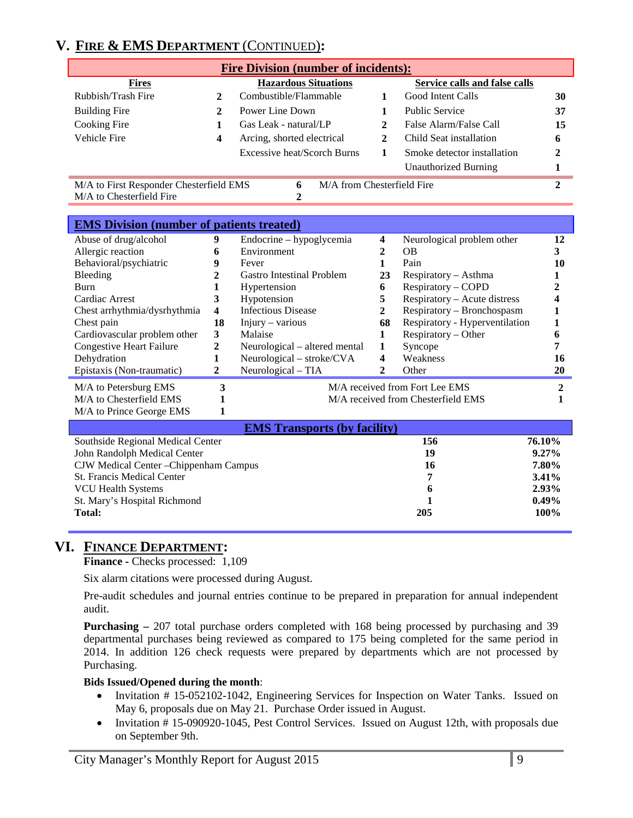# **V. FIRE & EMS DEPARTMENT** (CONTINUED)**:**

| <b>Fire Division (number of incidents):</b>                                  |   |                             |  |                             |    |
|------------------------------------------------------------------------------|---|-----------------------------|--|-----------------------------|----|
| <b>Hazardous Situations</b><br>Service calls and false calls<br><b>Fires</b> |   |                             |  |                             |    |
| Rubbish/Trash Fire                                                           |   | Combustible/Flammable       |  | Good Intent Calls           | 30 |
| <b>Building Fire</b>                                                         |   | Power Line Down             |  | <b>Public Service</b>       | 37 |
| Cooking Fire                                                                 |   | Gas Leak - natural/LP       |  | False Alarm/False Call      | 15 |
| Vehicle Fire                                                                 | 4 | Arcing, shorted electrical  |  | Child Seat installation     | 6  |
|                                                                              |   | Excessive heat/Scorch Burns |  | Smoke detector installation |    |
|                                                                              |   |                             |  | <b>Unauthorized Burning</b> |    |

**6 2**

M/A to First Responder Chesterfield EMS M/A to Chesterfield Fire

M/A from Chesterfield Fire **2**

| <b>EMS</b> Division (number of patients treated)        |              |                               |    |                                    |    |
|---------------------------------------------------------|--------------|-------------------------------|----|------------------------------------|----|
| Abuse of drug/alcohol                                   | 9            | Endocrine - hypoglycemia      | 4  | Neurological problem other         | 12 |
| Allergic reaction                                       | 6            | Environment                   |    | <b>OB</b>                          |    |
| Behavioral/psychiatric                                  | 9            | Fever                         |    | Pain                               | 10 |
| Bleeding                                                |              | Gastro Intestinal Problem     | 23 | $Respiratory - Asthma$             |    |
| <b>Burn</b>                                             |              | Hypertension                  | 6  | Respiratory - COPD                 |    |
| Cardiac Arrest                                          | 3            | Hypotension                   | 5  | Respiratory – Acute distress       |    |
| Chest arrhythmia/dysrhythmia                            | 4            | <b>Infectious Disease</b>     | 2  | Respiratory - Bronchospasm         |    |
| Chest pain                                              | 18           | $Injury - various$            | 68 | Respiratory - Hyperventilation     |    |
| Cardiovascular problem other                            | 3            | Malaise                       |    | $Respiratory - Other$              |    |
| <b>Congestive Heart Failure</b>                         | $\mathbf{2}$ | Neurological – altered mental | 1  | Syncope                            |    |
| Dehydration                                             |              | Neurological – stroke/CVA     | 4  | Weakness                           | 16 |
| Epistaxis (Non-traumatic)                               | 2            | $Neurological - TIA$          | 2  | Other                              | 20 |
| M/A received from Fort Lee EMS<br>M/A to Petersburg EMS |              |                               |    |                                    |    |
| M/A to Chesterfield EMS                                 |              |                               |    | M/A received from Chesterfield EMS |    |
| M/A to Prince George EMS                                |              |                               |    |                                    |    |

| <b>EMS Transports (by facility)</b>    |     |             |  |
|----------------------------------------|-----|-------------|--|
| Southside Regional Medical Center      | 156 | 76.10%      |  |
| John Randolph Medical Center           | 19  | $9.27\%$    |  |
| CJW Medical Center - Chippenham Campus | 16  | 7.80%       |  |
| <b>St. Francis Medical Center</b>      | 7   | $3.41\%$    |  |
| VCU Health Systems                     | 6   | $2.93\%$    |  |
| St. Mary's Hospital Richmond           |     | $0.49\%$    |  |
| Total:                                 | 205 | <b>100%</b> |  |

# **VI. FINANCE DEPARTMENT:**

**Finance -** Checks processed: 1,109

Six alarm citations were processed during August.

Pre-audit schedules and journal entries continue to be prepared in preparation for annual independent audit.

**Purchasing –** 207 total purchase orders completed with 168 being processed by purchasing and 39 departmental purchases being reviewed as compared to 175 being completed for the same period in 2014. In addition 126 check requests were prepared by departments which are not processed by Purchasing.

#### **Bids Issued/Opened during the month**:

- Invitation # 15-052102-1042, Engineering Services for Inspection on Water Tanks. Issued on May 6, proposals due on May 21. Purchase Order issued in August.
- Invitation #15-090920-1045, Pest Control Services. Issued on August 12th, with proposals due on September 9th.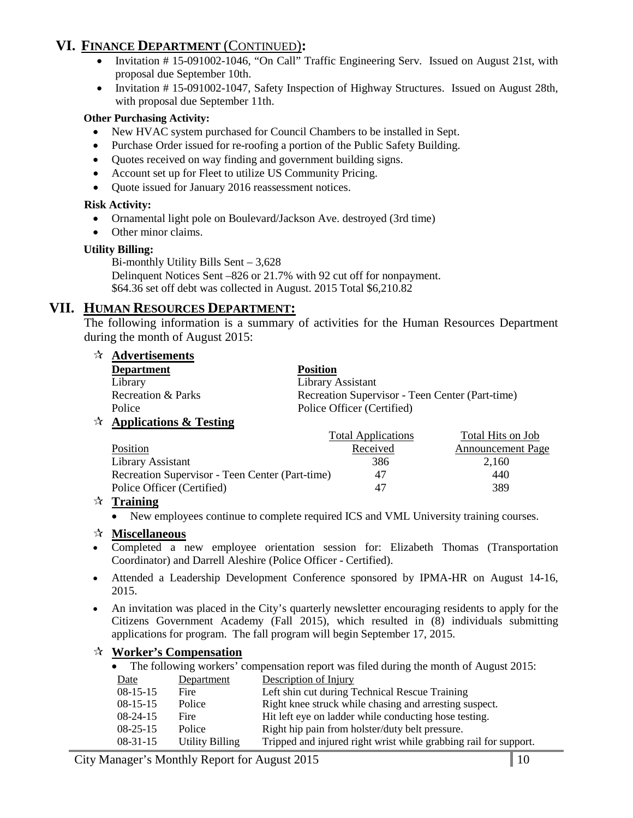# **VI. FINANCE DEPARTMENT** (CONTINUED)**:**

- Invitation # 15-091002-1046, "On Call" Traffic Engineering Serv. Issued on August 21st, with proposal due September 10th.
- Invitation #15-091002-1047, Safety Inspection of Highway Structures. Issued on August 28th, with proposal due September 11th.

#### **Other Purchasing Activity:**

- New HVAC system purchased for Council Chambers to be installed in Sept.
- Purchase Order issued for re-roofing a portion of the Public Safety Building.
- Quotes received on way finding and government building signs.
- Account set up for Fleet to utilize US Community Pricing.
- Quote issued for January 2016 reassessment notices.

#### **Risk Activity:**

- Ornamental light pole on Boulevard/Jackson Ave. destroyed (3rd time)
- Other minor claims.

#### **Utility Billing:**

Bi-monthly Utility Bills Sent – 3,628 Delinquent Notices Sent –826 or 21.7% with 92 cut off for nonpayment. \$64.36 set off debt was collected in August. 2015 Total \$6,210.82

## **VII. HUMAN RESOURCES DEPARTMENT:**

The following information is a summary of activities for the Human Resources Department during the month of August 2015:

| $\mathbf{\hat{x}}$ Advertisements |                                                 |
|-----------------------------------|-------------------------------------------------|
| <b>Department</b>                 | <b>Position</b>                                 |
| Library                           | Library Assistant                               |
| <b>Recreation &amp; Parks</b>     | Recreation Supervisor - Teen Center (Part-time) |
| Police                            | Police Officer (Certified)                      |
| $\forall$ Applications & Testing  |                                                 |

#### Total Applications Total Hits on Job Position Received Announcement Page Library Assistant 386 2,160 Recreation Supervisor - Teen Center (Part-time) 47 440 Police Officer (Certified) 47 389

#### **Training**

• New employees continue to complete required ICS and VML University training courses.

#### **Miscellaneous**

- Completed a new employee orientation session for: Elizabeth Thomas (Transportation Coordinator) and Darrell Aleshire (Police Officer - Certified).
- Attended a Leadership Development Conference sponsored by IPMA-HR on August 14-16, 2015.
- An invitation was placed in the City's quarterly newsletter encouraging residents to apply for the Citizens Government Academy (Fall 2015), which resulted in (8) individuals submitting applications for program. The fall program will begin September 17, 2015.

#### **Worker's Compensation**

|  | • The following workers' compensation report was filed during the month of August 2015: |  |  |  |
|--|-----------------------------------------------------------------------------------------|--|--|--|
|--|-----------------------------------------------------------------------------------------|--|--|--|

Date Department Description of Injury

| Duv            | $\nu$           | $D$ c <sub>b</sub> chpuon of means                               |
|----------------|-----------------|------------------------------------------------------------------|
| $08-15-15$     | Fire            | Left shin cut during Technical Rescue Training                   |
| $08-15-15$     | Police          | Right knee struck while chasing and arresting suspect.           |
| $08-24-15$     | Fire            | Hit left eye on ladder while conducting hose testing.            |
| $08 - 25 - 15$ | Police          | Right hip pain from holster/duty belt pressure.                  |
| $08-31-15$     | Utility Billing | Tripped and injured right wrist while grabbing rail for support. |
|                |                 |                                                                  |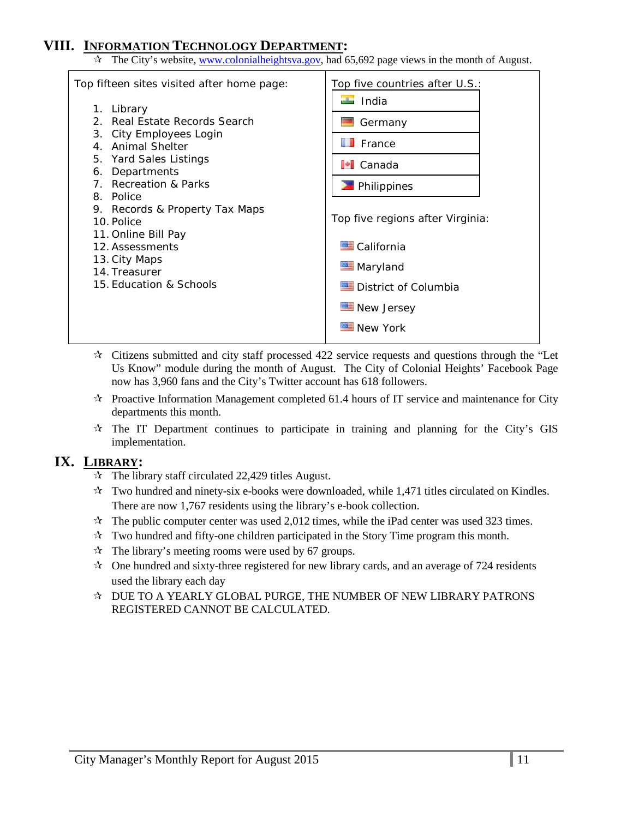# **VIII. INFORMATION TECHNOLOGY DEPARTMENT:**

 $\hat{x}$  The City's website, [www.colonialheightsva.gov,](http://www.colonialheightsva.gov/) had 65,692 page views in the month of August.



- $\star$  Citizens submitted and city staff processed 422 service requests and questions through the "Let Us Know" module during the month of August. The City of Colonial Heights' Facebook Page now has 3,960 fans and the City's Twitter account has 618 followers.
- $\mathcal{R}$  Proactive Information Management completed 61.4 hours of IT service and maintenance for City departments this month.
- $\dot{\mathbf{x}}$  The IT Department continues to participate in training and planning for the City's GIS implementation.

## **IX. LIBRARY:**

- $\approx$  The library staff circulated 22,429 titles August.
- $\mathbf{\hat{x}}$  Two hundred and ninety-six e-books were downloaded, while 1,471 titles circulated on Kindles. There are now 1,767 residents using the library's e-book collection.
- $\star$  The public computer center was used 2,012 times, while the iPad center was used 323 times.
- $\star$  Two hundred and fifty-one children participated in the Story Time program this month.
- $\hat{\mathcal{R}}$  The library's meeting rooms were used by 67 groups.
- $\mathcal{R}$  One hundred and sixty-three registered for new library cards, and an average of 724 residents used the library each day
- $\triangle$  DUE TO A YEARLY GLOBAL PURGE, THE NUMBER OF NEW LIBRARY PATRONS REGISTERED CANNOT BE CALCULATED.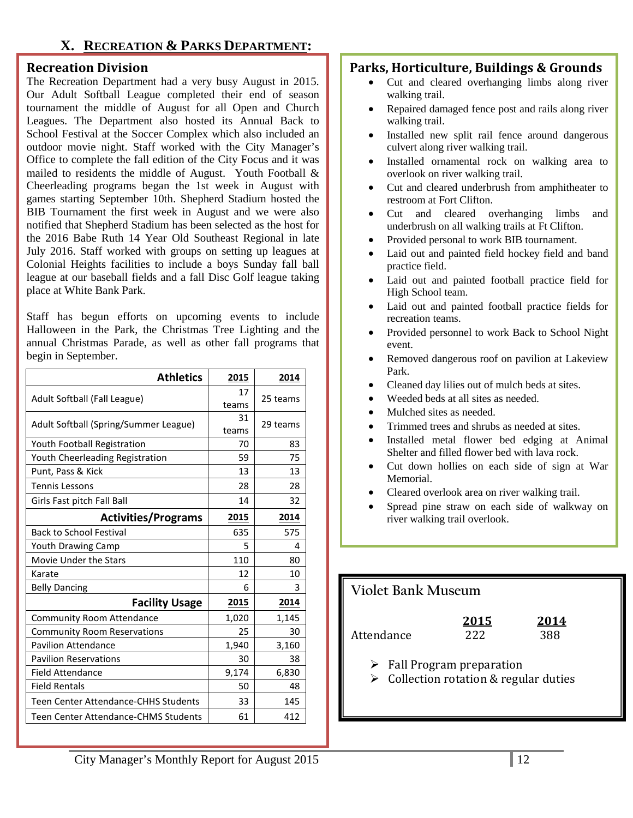# **X. RECREATION & PARKS DEPARTMENT:**

#### **Recreation Division**

The Recreation Department had a very busy August in 2015. Our Adult Softball League completed their end of season tournament the middle of August for all Open and Church Leagues. The Department also hosted its Annual Back to School Festival at the Soccer Complex which also included an outdoor movie night. Staff worked with the City Manager's Office to complete the fall edition of the City Focus and it was mailed to residents the middle of August. Youth Football & Cheerleading programs began the 1st week in August with games starting September 10th. Shepherd Stadium hosted the BIB Tournament the first week in August and we were also notified that Shepherd Stadium has been selected as the host for the 2016 Babe Ruth 14 Year Old Southeast Regional in late July 2016. Staff worked with groups on setting up leagues at Colonial Heights facilities to include a boys Sunday fall ball league at our baseball fields and a fall Disc Golf league taking place at White Bank Park.

Staff has begun efforts on upcoming events to include Halloween in the Park, the Christmas Tree Lighting and the annual Christmas Parade, as well as other fall programs that begin in September.

| <b>Athletics</b>                      | 2015        | 2014     |
|---------------------------------------|-------------|----------|
| Adult Softball (Fall League)          | 17<br>teams | 25 teams |
| Adult Softball (Spring/Summer League) | 31<br>teams | 29 teams |
| Youth Football Registration           | 70          | 83       |
| Youth Cheerleading Registration       | 59          | 75       |
| Punt, Pass & Kick                     | 13          | 13       |
| <b>Tennis Lessons</b>                 | 28          | 28       |
| Girls Fast pitch Fall Ball            | 14          | 32       |
| <b>Activities/Programs</b>            | 2015        | 2014     |
| <b>Back to School Festival</b>        | 635         | 575      |
| <b>Youth Drawing Camp</b>             | 5           | 4        |
| Movie Under the Stars                 | 110         | 80       |
| Karate                                | 12          | 10       |
| <b>Belly Dancing</b>                  | 6           | 3        |
| <b>Facility Usage</b>                 | 2015        | 2014     |
| <b>Community Room Attendance</b>      | 1,020       | 1,145    |
| <b>Community Room Reservations</b>    | 25          | 30       |
| <b>Pavilion Attendance</b>            | 1,940       | 3,160    |
| <b>Pavilion Reservations</b>          | 30          | 38       |
| Field Attendance                      | 9,174       | 6,830    |
| <b>Field Rentals</b>                  | 50          | 48       |
| Teen Center Attendance-CHHS Students  | 33          | 145      |
| Teen Center Attendance-CHMS Students  | 61          | 412      |

## **Parks, Horticulture, Buildings & Grounds**

- Cut and cleared overhanging limbs along river walking trail.
- Repaired damaged fence post and rails along river walking trail.
- Installed new split rail fence around dangerous culvert along river walking trail.
- Installed ornamental rock on walking area to overlook on river walking trail.
- Cut and cleared underbrush from amphitheater to restroom at Fort Clifton.
- Cut and cleared overhanging limbs and underbrush on all walking trails at Ft Clifton.
- Provided personal to work BIB tournament.
- Laid out and painted field hockey field and band practice field.
- Laid out and painted football practice field for High School team.
- Laid out and painted football practice fields for recreation teams.
- Provided personnel to work Back to School Night event.
- Removed dangerous roof on pavilion at Lakeview Park.
- Cleaned day lilies out of mulch beds at sites.
- Weeded beds at all sites as needed.
- Mulched sites as needed.
- Trimmed trees and shrubs as needed at sites.
- Installed metal flower bed edging at Animal Shelter and filled flower bed with lava rock.
- Cut down hollies on each side of sign at War Memorial.
- Cleared overlook area on river walking trail.
- Spread pine straw on each side of walkway on river walking trail overlook.

# **Violet Bank Museum 2015 2014** Attendance 222 388  $\triangleright$  Fall Program preparation  $\triangleright$  Collection rotation & regular duties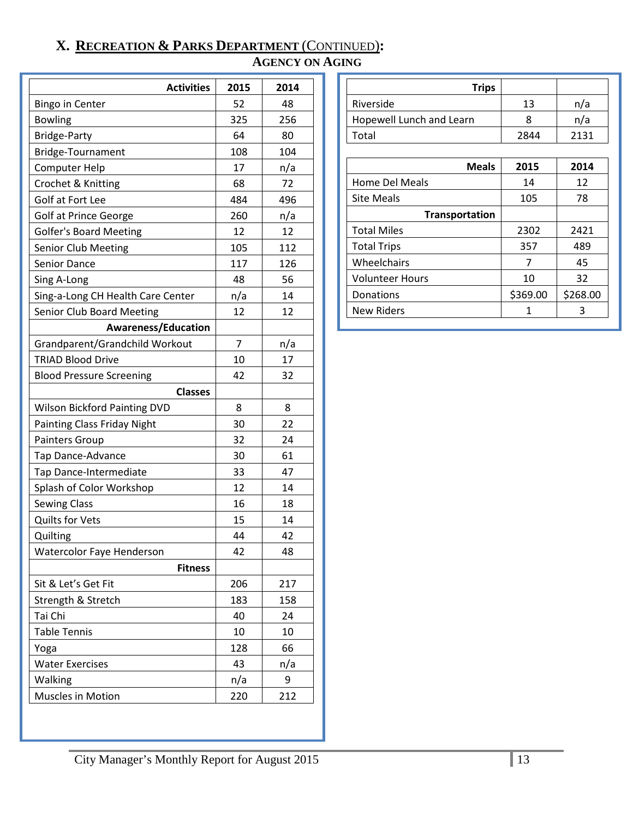# **X. RECREATION & PARKS DEPARTMENT** (CONTINUED)**:**

# **AGENCY ON AGING**

| <b>Activities</b>                   | 2015           | 2014 |
|-------------------------------------|----------------|------|
| <b>Bingo in Center</b>              | 52             | 48   |
| <b>Bowling</b>                      | 325            | 256  |
| Bridge-Party                        | 64             | 80   |
| Bridge-Tournament                   | 108            | 104  |
| Computer Help                       | 17             | n/a  |
| Crochet & Knitting                  | 68             | 72   |
| Golf at Fort Lee                    | 484            | 496  |
| <b>Golf at Prince George</b>        | 260            | n/a  |
| <b>Golfer's Board Meeting</b>       | 12             | 12   |
| Senior Club Meeting                 | 105            | 112  |
| Senior Dance                        | 117            | 126  |
| Sing A-Long                         | 48             | 56   |
| Sing-a-Long CH Health Care Center   | n/a            | 14   |
| <b>Senior Club Board Meeting</b>    | 12             | 12   |
| <b>Awareness/Education</b>          |                |      |
| Grandparent/Grandchild Workout      | $\overline{7}$ | n/a  |
| <b>TRIAD Blood Drive</b>            | 10             | 17   |
| <b>Blood Pressure Screening</b>     | 42             | 32   |
| <b>Classes</b>                      |                |      |
| <b>Wilson Bickford Painting DVD</b> | 8              | 8    |
| <b>Painting Class Friday Night</b>  | 30             | 22   |
| Painters Group                      | 32             | 24   |
| Tap Dance-Advance                   | 30             | 61   |
| Tap Dance-Intermediate              | 33             | 47   |
| Splash of Color Workshop            | 12             | 14   |
| <b>Sewing Class</b>                 | 16             | 18   |
| <b>Quilts for Vets</b>              | 15             | 14   |
| Quilting                            | 44             | 42   |
| <b>Watercolor Faye Henderson</b>    | 42             | 48   |
| <b>Fitness</b>                      |                |      |
| Sit & Let's Get Fit                 | 206            | 217  |
| Strength & Stretch                  | 183            | 158  |
| Tai Chi                             | 40             | 24   |
| <b>Table Tennis</b>                 | 10             | 10   |
| Yoga                                | 128            | 66   |
| <b>Water Exercises</b>              | 43             | n/a  |
| Walking                             | n/a            | 9    |
| <b>Muscles in Motion</b>            | 220            | 212  |

| <b>Trips</b>             |      |      |
|--------------------------|------|------|
| Riverside                | 13   | n/a  |
| Hopewell Lunch and Learn |      | n/a  |
| Total                    | 2844 | 2131 |

| <b>Meals</b>       | 2015     | 2014     |
|--------------------|----------|----------|
| Home Del Meals     | 14       | 12       |
| <b>Site Meals</b>  | 105      | 78       |
| Transportation     |          |          |
| <b>Total Miles</b> | 2302     | 2421     |
| <b>Total Trips</b> | 357      | 489      |
| Wheelchairs        |          | 45       |
| Volunteer Hours    | 10       | 32       |
| Donations          | \$369.00 | \$268.00 |
| <b>New Riders</b>  |          | 3        |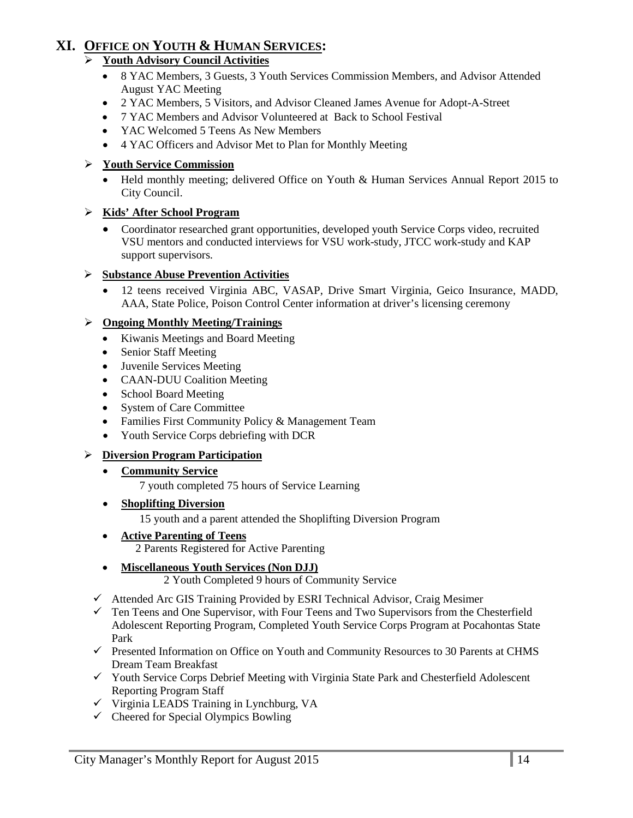# **XI. OFFICE ON YOUTH & HUMAN SERVICES:**

## **Youth Advisory Council Activities**

- 8 YAC Members, 3 Guests, 3 Youth Services Commission Members, and Advisor Attended August YAC Meeting
- 2 YAC Members, 5 Visitors, and Advisor Cleaned James Avenue for Adopt-A-Street
- 7 YAC Members and Advisor Volunteered at Back to School Festival
- YAC Welcomed 5 Teens As New Members
- 4 YAC Officers and Advisor Met to Plan for Monthly Meeting

## **Youth Service Commission**

• Held monthly meeting; delivered Office on Youth & Human Services Annual Report 2015 to City Council.

## **Kids' After School Program**

• Coordinator researched grant opportunities, developed youth Service Corps video, recruited VSU mentors and conducted interviews for VSU work-study, JTCC work-study and KAP support supervisors.

## **Substance Abuse Prevention Activities**

• 12 teens received Virginia ABC, VASAP, Drive Smart Virginia, Geico Insurance, MADD, AAA, State Police, Poison Control Center information at driver's licensing ceremony

## **Ongoing Monthly Meeting/Trainings**

- Kiwanis Meetings and Board Meeting
- Senior Staff Meeting
- Juvenile Services Meeting
- CAAN-DUU Coalition Meeting
- School Board Meeting
- System of Care Committee
- Families First Community Policy & Management Team
- Youth Service Corps debriefing with DCR

## **Diversion Program Participation**

#### • **Community Service**

7 youth completed 75 hours of Service Learning

#### • **Shoplifting Diversion**

15 youth and a parent attended the Shoplifting Diversion Program

• **Active Parenting of Teens**

2 Parents Registered for Active Parenting

## • **Miscellaneous Youth Services (Non DJJ)**

2 Youth Completed 9 hours of Community Service

- $\checkmark$  Attended Arc GIS Training Provided by ESRI Technical Advisor, Craig Mesimer
- $\checkmark$  Ten Teens and One Supervisor, with Four Teens and Two Supervisors from the Chesterfield Adolescent Reporting Program, Completed Youth Service Corps Program at Pocahontas State Park
- $\checkmark$  Presented Information on Office on Youth and Community Resources to 30 Parents at CHMS Dream Team Breakfast
- $\checkmark$  Youth Service Corps Debrief Meeting with Virginia State Park and Chesterfield Adolescent Reporting Program Staff
- $\checkmark$  Virginia LEADS Training in Lynchburg, VA
- $\checkmark$  Cheered for Special Olympics Bowling